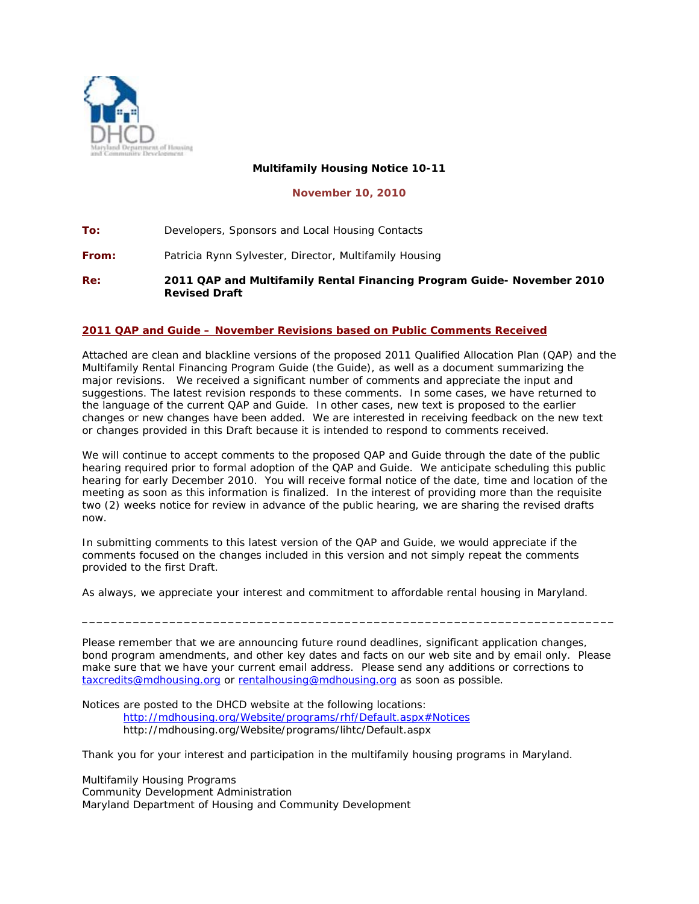

## **Multifamily Housing Notice 10-11**

**November 10, 2010** 

**To:** Developers, Sponsors and Local Housing Contacts

**From:** Patricia Rynn Sylvester, Director, Multifamily Housing

**Re:** *2011 QAP and Multifamily Rental Financing Program Guide- November 2010 Revised Draft* 

## **2011 QAP and Guide – November Revisions based on Public Comments Received**

Attached are clean and blackline versions of the proposed 2011 Qualified Allocation Plan (QAP) and the Multifamily Rental Financing Program Guide (the Guide), as well as a document summarizing the major revisions. We received a significant number of comments and appreciate the input and suggestions. The latest revision responds to these comments. In some cases, we have returned to the language of the current QAP and Guide. In other cases, new text is proposed to the earlier changes or new changes have been added. We are interested in receiving feedback on the new text or changes provided in this Draft because it is intended to respond to comments received.

We will continue to accept comments to the proposed QAP and Guide through the date of the public hearing required prior to formal adoption of the QAP and Guide. We anticipate scheduling this public hearing for early December 2010. You will receive formal notice of the date, time and location of the meeting as soon as this information is finalized. In the interest of providing more than the requisite two (2) weeks notice for review in advance of the public hearing, we are sharing the revised drafts now.

In submitting comments to this latest version of the QAP and Guide, we would appreciate if the comments focused on the changes included in this version and not simply repeat the comments provided to the first Draft.

As always, we appreciate your interest and commitment to affordable rental housing in Maryland.

Please remember that we are announcing future round deadlines, significant application changes, bond program amendments, and other key dates and facts on our web site and by email only. Please make sure that we have your current email address. Please send any additions or corrections to [taxcredits@mdhousing.org](mailto:taxcredits@mdhousing.org) or [rentalhousing@mdhousing.org](mailto:rentalhousing@mdhousing.org) as soon as possible.

**\_\_\_\_\_\_\_\_\_\_\_\_\_\_\_\_\_\_\_\_\_\_\_\_\_\_\_\_\_\_\_\_\_\_\_\_\_\_\_\_\_\_\_\_\_\_\_\_\_\_\_\_\_\_\_\_\_\_\_\_\_\_\_\_\_\_\_\_\_\_\_\_\_** 

Notices are posted to the DHCD website at the following locations: <http://mdhousing.org/Website/programs/rhf/Default.aspx#Notices> http://mdhousing.org/Website/programs/lihtc/Default.aspx

Thank you for your interest and participation in the multifamily housing programs in Maryland.

Multifamily Housing Programs Community Development Administration Maryland Department of Housing and Community Development